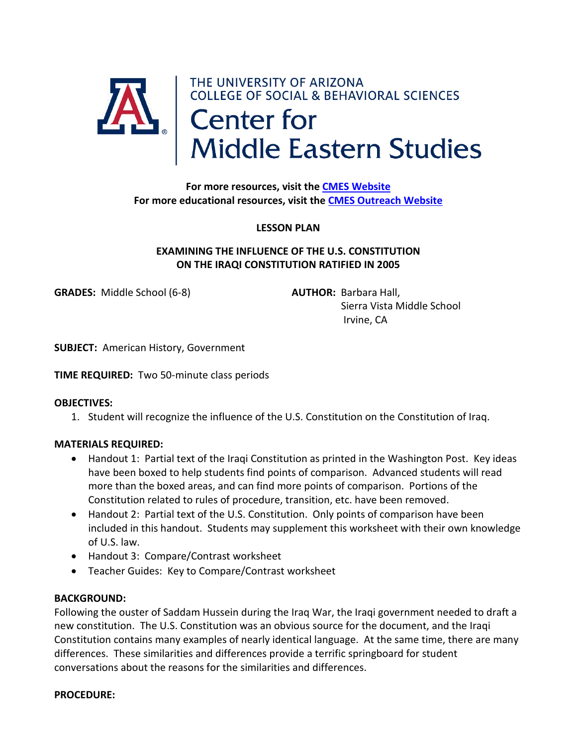

**For more educational resources, visit the [CMES Outreach Website](https://cmes.arizona.edu/outreach)**

### **LESSON PLAN**

## **EXAMINING THE INFLUENCE OF THE U.S. CONSTITUTION ON THE IRAQI CONSTITUTION RATIFIED IN 2005**

**GRADES:** Middle School (6-8) **AUTHOR:** Barbara Hall,

 Sierra Vista Middle School Irvine, CA

**SUBJECT:** American History, Government

**TIME REQUIRED:** Two 50-minute class periods

#### **OBJECTIVES:**

1. Student will recognize the influence of the U.S. Constitution on the Constitution of Iraq.

### **MATERIALS REQUIRED:**

- Handout 1: Partial text of the Iraqi Constitution as printed in the Washington Post. Key ideas have been boxed to help students find points of comparison. Advanced students will read more than the boxed areas, and can find more points of comparison. Portions of the Constitution related to rules of procedure, transition, etc. have been removed.
- Handout 2: Partial text of the U.S. Constitution. Only points of comparison have been included in this handout. Students may supplement this worksheet with their own knowledge of U.S. law.
- Handout 3: Compare/Contrast worksheet
- Teacher Guides: Key to Compare/Contrast worksheet

#### **BACKGROUND:**

Following the ouster of Saddam Hussein during the Iraq War, the Iraqi government needed to draft a new constitution. The U.S. Constitution was an obvious source for the document, and the Iraqi Constitution contains many examples of nearly identical language. At the same time, there are many differences. These similarities and differences provide a terrific springboard for student conversations about the reasons for the similarities and differences.

#### **PROCEDURE:**